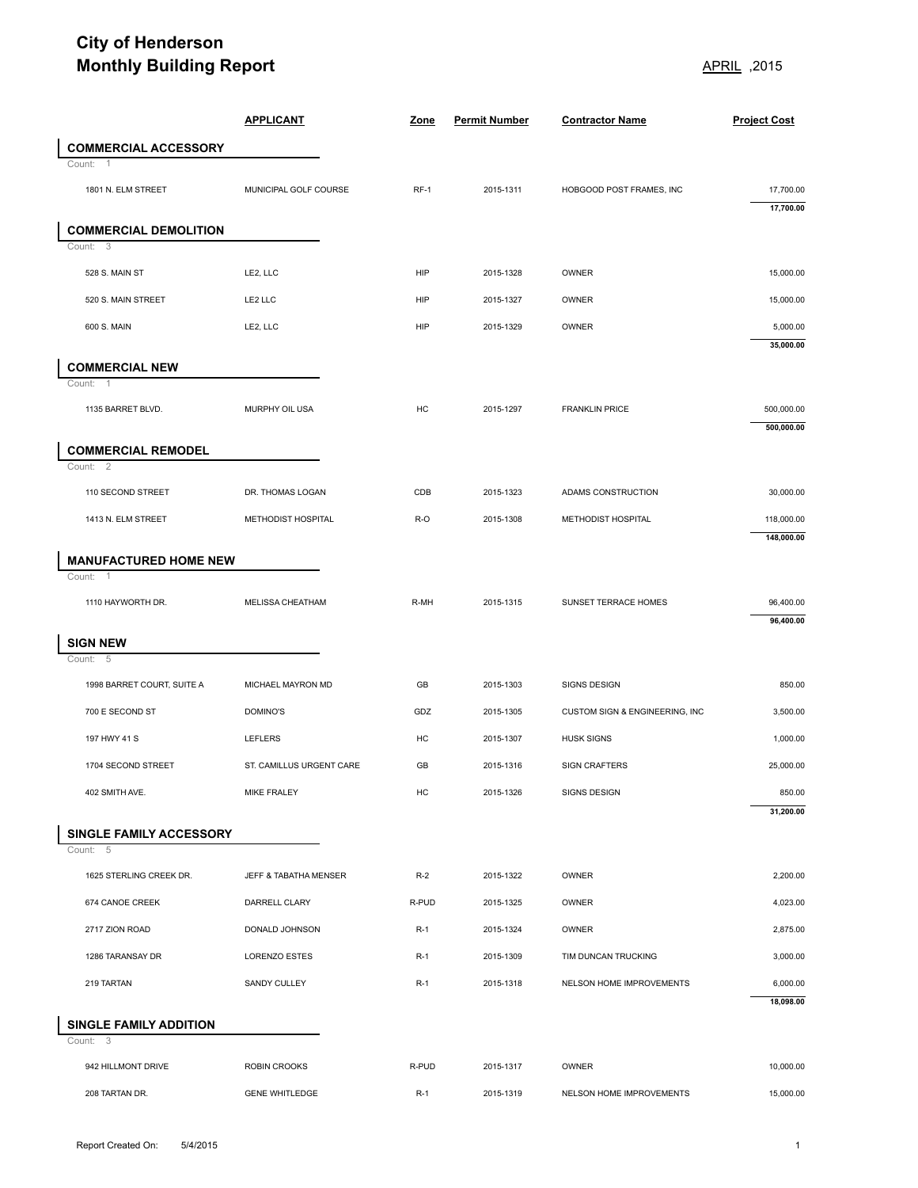## **City of Henderson Monthly Building Report** APRIL 12015

|                                                          | <b>Monthly Building Report</b> |        |                      | 2015, APRIL                    |                          |
|----------------------------------------------------------|--------------------------------|--------|----------------------|--------------------------------|--------------------------|
|                                                          | <b>APPLICANT</b>               | Zone   | <b>Permit Number</b> | <b>Contractor Name</b>         | <b>Project Cost</b>      |
| <b>COMMERCIAL ACCESSORY</b>                              |                                |        |                      |                                |                          |
| Count: 1                                                 |                                |        |                      |                                |                          |
| 1801 N. ELM STREET                                       | MUNICIPAL GOLF COURSE          | $RF-1$ | 2015-1311            | HOBGOOD POST FRAMES, INC       | 17,700.00<br>17,700.00   |
| <b>COMMERCIAL DEMOLITION</b>                             |                                |        |                      |                                |                          |
| Count: 3                                                 |                                |        |                      |                                |                          |
| 528 S. MAIN ST                                           | LE2, LLC                       | HIP    | 2015-1328            | OWNER                          | 15,000.00                |
| 520 S. MAIN STREET                                       | LE2 LLC                        | HIP    | 2015-1327            | OWNER                          | 15,000.00                |
| 600 S. MAIN                                              | LE2, LLC                       | HIP    | 2015-1329            | OWNER                          | 5,000.00<br>35,000.00    |
| <b>COMMERCIAL NEW</b>                                    |                                |        |                      |                                |                          |
| Count: 1                                                 |                                |        |                      |                                |                          |
| 1135 BARRET BLVD.                                        | MURPHY OIL USA                 | HC     | 2015-1297            | <b>FRANKLIN PRICE</b>          | 500,000.00<br>500,000.00 |
| <b>COMMERCIAL REMODEL</b><br>Count: 2                    |                                |        |                      |                                |                          |
| 110 SECOND STREET                                        | DR. THOMAS LOGAN               | CDB    | 2015-1323            | ADAMS CONSTRUCTION             | 30,000.00                |
| 1413 N. ELM STREET                                       | METHODIST HOSPITAL             | R-O    | 2015-1308            | METHODIST HOSPITAL             | 118,000.00               |
|                                                          |                                |        |                      |                                | 148,000.00               |
| <b>MANUFACTURED HOME NEW</b><br>Count:<br>$\overline{1}$ |                                |        |                      |                                |                          |
| 1110 HAYWORTH DR.                                        | MELISSA CHEATHAM               | R-MH   | 2015-1315            | SUNSET TERRACE HOMES           | 96,400.00                |
|                                                          |                                |        |                      |                                | 96,400.00                |
| <b>SIGN NEW</b><br>Count: 5                              |                                |        |                      |                                |                          |
| 1998 BARRET COURT, SUITE A                               | MICHAEL MAYRON MD              | GB     | 2015-1303            | SIGNS DESIGN                   | 850.00                   |
| 700 E SECOND ST                                          | DOMINO'S                       | GDZ    | 2015-1305            | CUSTOM SIGN & ENGINEERING, INC | 3,500.00                 |
| 197 HWY 41 S                                             | <b>LEFLERS</b>                 | HC     | 2015-1307            | <b>HUSK SIGNS</b>              | 1,000.00                 |
| 1704 SECOND STREET                                       | ST. CAMILLUS URGENT CARE       | GB     | 2015-1316            | <b>SIGN CRAFTERS</b>           | 25,000.00                |
| 402 SMITH AVE.                                           | MIKE FRALEY                    | HC     | 2015-1326            | <b>SIGNS DESIGN</b>            | 850.00                   |
|                                                          |                                |        |                      |                                | 31,200.00                |
| SINGLE FAMILY ACCESSORY                                  |                                |        |                      |                                |                          |
| Count: 5<br>1625 STERLING CREEK DR.                      | JEFF & TABATHA MENSER          | $R-2$  | 2015-1322            | OWNER                          | 2,200.00                 |
|                                                          |                                |        |                      |                                |                          |
| 674 CANOE CREEK                                          | DARRELL CLARY                  | R-PUD  | 2015-1325            | OWNER                          | 4,023.00                 |
| 2717 ZION ROAD                                           | DONALD JOHNSON                 | $R-1$  | 2015-1324            | OWNER                          | 2,875.00                 |
| 1286 TARANSAY DR                                         | LORENZO ESTES                  | $R-1$  | 2015-1309            | TIM DUNCAN TRUCKING            | 3,000.00                 |
| 219 TARTAN                                               | SANDY CULLEY                   | $R-1$  | 2015-1318            | NELSON HOME IMPROVEMENTS       | 6,000.00<br>18,098.00    |
| SINGLE FAMILY ADDITION<br>Count: 3                       |                                |        |                      |                                |                          |
| 942 HILLMONT DRIVE                                       | <b>ROBIN CROOKS</b>            | R-PUD  | 2015-1317            | OWNER                          | 10,000.00                |
| 208 TARTAN DR.                                           | <b>GENE WHITLEDGE</b>          | $R-1$  | 2015-1319            | NELSON HOME IMPROVEMENTS       | 15,000.00                |
|                                                          |                                |        |                      |                                |                          |